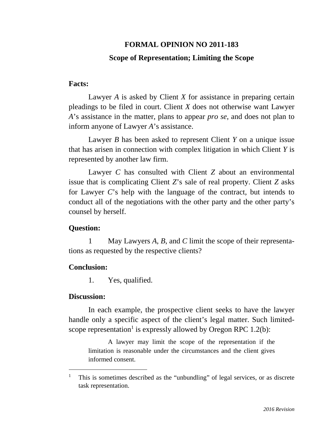# **FORMAL OPINION NO 2011-183 Scope of Representation; Limiting the Scope**

### **Facts:**

Lawyer *A* is asked by Client *X* for assistance in preparing certain pleadings to be filed in court. Client *X* does not otherwise want Lawyer *A*'s assistance in the matter, plans to appear *pro se*, and does not plan to inform anyone of Lawyer *A*'s assistance.

Lawyer *B* has been asked to represent Client *Y* on a unique issue that has arisen in connection with complex litigation in which Client *Y* is represented by another law firm.

Lawyer *C* has consulted with Client *Z* about an environmental issue that is complicating Client *Z*'s sale of real property. Client *Z* asks for Lawyer *C*'s help with the language of the contract, but intends to conduct all of the negotiations with the other party and the other party's counsel by herself.

## **Question:**

1 May Lawyers *A*, *B*, and *C* limit the scope of their representations as requested by the respective clients?

## **Conclusion:**

1. Yes, qualified.

## **Discussion:**

 $\overline{a}$ 

In each example, the prospective client seeks to have the lawyer handle only a specific aspect of the client's legal matter. Such limitedscope representation<sup>1</sup> is expressly allowed by Oregon RPC 1.2(b):

A lawyer may limit the scope of the representation if the limitation is reasonable under the circumstances and the client gives informed consent.

<sup>1</sup> This is sometimes described as the "unbundling" of legal services, or as discrete task representation.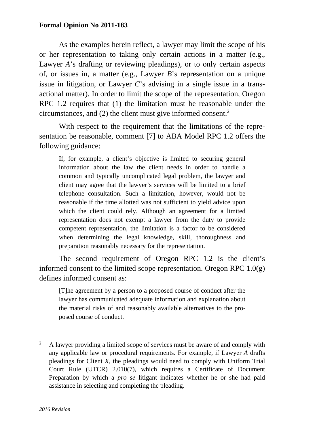As the examples herein reflect, a lawyer may limit the scope of his or her representation to taking only certain actions in a matter (e.g., Lawyer *A*'s drafting or reviewing pleadings), or to only certain aspects of, or issues in, a matter (e.g., Lawyer *B*'s representation on a unique issue in litigation, or Lawyer *C*'s advising in a single issue in a transactional matter). In order to limit the scope of the representation, Oregon RPC 1.2 requires that (1) the limitation must be reasonable under the circumstances, and  $(2)$  the client must give informed consent.<sup>2</sup>

With respect to the requirement that the limitations of the representation be reasonable, comment [7] to ABA Model RPC 1.2 offers the following guidance:

If, for example, a client's objective is limited to securing general information about the law the client needs in order to handle a common and typically uncomplicated legal problem, the lawyer and client may agree that the lawyer's services will be limited to a brief telephone consultation. Such a limitation, however, would not be reasonable if the time allotted was not sufficient to yield advice upon which the client could rely. Although an agreement for a limited representation does not exempt a lawyer from the duty to provide competent representation, the limitation is a factor to be considered when determining the legal knowledge, skill, thoroughness and preparation reasonably necessary for the representation.

The second requirement of Oregon RPC 1.2 is the client's informed consent to the limited scope representation. Oregon RPC 1.0(g) defines informed consent as:

[T]he agreement by a person to a proposed course of conduct after the lawyer has communicated adequate information and explanation about the material risks of and reasonably available alternatives to the proposed course of conduct.

 $\overline{a}$ 

<sup>2</sup> A lawyer providing a limited scope of services must be aware of and comply with any applicable law or procedural requirements. For example, if Lawyer *A* drafts pleadings for Client *X*, the pleadings would need to comply with Uniform Trial Court Rule (UTCR) 2.010(7), which requires a Certificate of Document Preparation by which a *pro se* litigant indicates whether he or she had paid assistance in selecting and completing the pleading.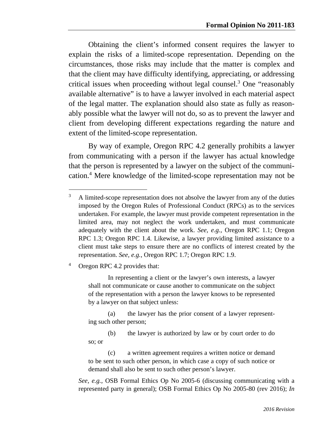Obtaining the client's informed consent requires the lawyer to explain the risks of a limited-scope representation. Depending on the circumstances, those risks may include that the matter is complex and that the client may have difficulty identifying, appreciating, or addressing critical issues when proceeding without legal counsel.3 One "reasonably available alternative" is to have a lawyer involved in each material aspect of the legal matter. The explanation should also state as fully as reasonably possible what the lawyer will not do, so as to prevent the lawyer and client from developing different expectations regarding the nature and extent of the limited-scope representation.

By way of example, Oregon RPC 4.2 generally prohibits a lawyer from communicating with a person if the lawyer has actual knowledge that the person is represented by a lawyer on the subject of the communication.4 Mere knowledge of the limited-scope representation may not be

4 Oregon RPC 4.2 provides that:

-

In representing a client or the lawyer's own interests, a lawyer shall not communicate or cause another to communicate on the subject of the representation with a person the lawyer knows to be represented by a lawyer on that subject unless:

 (a) the lawyer has the prior consent of a lawyer representing such other person;

 (b) the lawyer is authorized by law or by court order to do so; or

 (c) a written agreement requires a written notice or demand to be sent to such other person, in which case a copy of such notice or demand shall also be sent to such other person's lawyer.

*See, e.g.*, OSB Formal Ethics Op No 2005-6 (discussing communicating with a represented party in general); OSB Formal Ethics Op No 2005-80 (rev 2016); *In* 

<sup>3</sup> A limited-scope representation does not absolve the lawyer from any of the duties imposed by the Oregon Rules of Professional Conduct (RPCs) as to the services undertaken. For example, the lawyer must provide competent representation in the limited area, may not neglect the work undertaken, and must communicate adequately with the client about the work. *See, e.g.*, Oregon RPC 1.1; Oregon RPC 1.3; Oregon RPC 1.4. Likewise, a lawyer providing limited assistance to a client must take steps to ensure there are no conflicts of interest created by the representation. *See, e.g.*, Oregon RPC 1.7; Oregon RPC 1.9.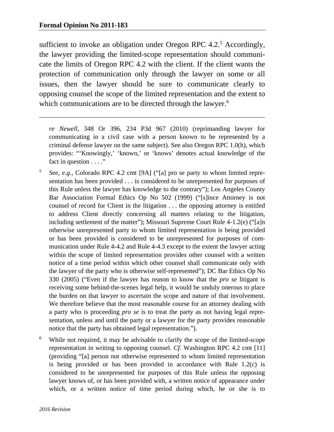$\overline{a}$ 

sufficient to invoke an obligation under Oregon RPC 4.2.<sup>5</sup> Accordingly, the lawyer providing the limited-scope representation should communicate the limits of Oregon RPC 4.2 with the client. If the client wants the protection of communication only through the lawyer on some or all issues, then the lawyer should be sure to communicate clearly to opposing counsel the scope of the limited representation and the extent to which communications are to be directed through the lawyer.<sup>6</sup>

*re Newell*, 348 Or 396, 234 P3d 967 (2010) (reprimanding lawyer for communicating in a civil case with a person known to be represented by a criminal defense lawyer on the same subject). See also Oregon RPC 1.0(h), which provides: "'Knowingly,' 'known,' or 'knows' denotes actual knowledge of the fact in question . . . ."

- 5 *See, e.g.*, Colorado RPC 4.2 cmt [9A] ("[a] pro se party to whom limited representation has been provided . . . is considered to be unrepresented for purposes of this Rule unless the lawyer has knowledge to the contrary"); Los Angeles County Bar Association Formal Ethics Op No 502 (1999) ("[s]ince Attorney is not counsel of record for Client in the litigation . . . the opposing attorney is entitled to address Client directly concerning all matters relating to the litigation, including settlement of the matter"); Missouri Supreme Court Rule 4-1.2(e) ("[a]n otherwise unrepresented party to whom limited representation is being provided or has been provided is considered to be unrepresented for purposes of communication under Rule 4-4.2 and Rule 4-4.3 except to the extent the lawyer acting within the scope of limited representation provides other counsel with a written notice of a time period within which other counsel shall communicate only with the lawyer of the party who is otherwise self-represented"); DC Bar Ethics Op No 330 (2005) ("Even if the lawyer has reason to know that the *pro se* litigant is receiving some behind-the-scenes legal help, it would be unduly onerous to place the burden on that lawyer to ascertain the scope and nature of that involvement. We therefore believe that the most reasonable course for an attorney dealing with a party who is proceeding *pro se* is to treat the party as not having legal representation, unless and until the party or a lawyer for the party provides reasonable notice that the party has obtained legal representation.").
- 6 While not required, it may be advisable to clarify the scope of the limited-scope representation in writing to opposing counsel. *Cf.* Washington RPC 4.2 cmt [11] (providing "[a] person not otherwise represented to whom limited representation is being provided or has been provided in accordance with Rule 1.2(c) is considered to be unrepresented for purposes of this Rule unless the opposing lawyer knows of, or has been provided with, a written notice of appearance under which, or a written notice of time period during which, he or she is to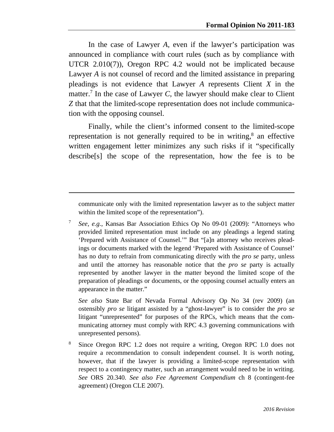In the case of Lawyer *A*, even if the lawyer's participation was announced in compliance with court rules (such as by compliance with UTCR 2.010(7)), Oregon RPC 4.2 would not be implicated because Lawyer *A* is not counsel of record and the limited assistance in preparing pleadings is not evidence that Lawyer *A* represents Client *X* in the matter.<sup>7</sup> In the case of Lawyer  $C$ , the lawyer should make clear to Client *Z* that that the limited-scope representation does not include communication with the opposing counsel.

Finally, while the client's informed consent to the limited-scope representation is not generally required to be in writing, $\delta$  an effective written engagement letter minimizes any such risks if it "specifically describe[s] the scope of the representation, how the fee is to be

communicate only with the limited representation lawyer as to the subject matter within the limited scope of the representation").

 $\overline{a}$ 

7 *See, e.g.*, Kansas Bar Association Ethics Op No 09-01 (2009): "Attorneys who provided limited representation must include on any pleadings a legend stating 'Prepared with Assistance of Counsel.'" But "[a]n attorney who receives pleadings or documents marked with the legend 'Prepared with Assistance of Counsel' has no duty to refrain from communicating directly with the *pro se* party, unless and until the attorney has reasonable notice that the *pro se* party is actually represented by another lawyer in the matter beyond the limited scope of the preparation of pleadings or documents, or the opposing counsel actually enters an appearance in the matter."

*See also* State Bar of Nevada Formal Advisory Op No 34 (rev 2009) (an ostensibly *pro se* litigant assisted by a "ghost-lawyer" is to consider the *pro se* litigant "unrepresented" for purposes of the RPCs, which means that the communicating attorney must comply with RPC 4.3 governing communications with unrepresented persons).

8 Since Oregon RPC 1.2 does not require a writing, Oregon RPC 1.0 does not require a recommendation to consult independent counsel. It is worth noting, however, that if the lawyer is providing a limited-scope representation with respect to a contingency matter, such an arrangement would need to be in writing. *See* ORS 20.340. *See also Fee Agreement Compendium* ch 8 (contingent-fee agreement) (Oregon CLE 2007).